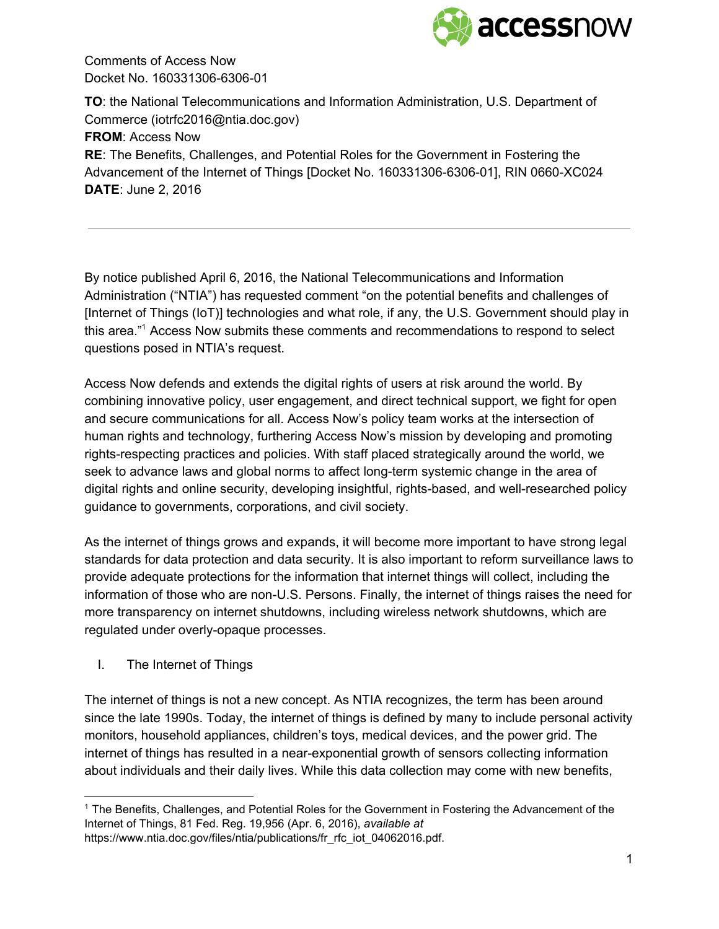

**TO**: the National Telecommunications and Information Administration, U.S. Department of Commerce (iotrfc2016@ntia.doc.gov) **FROM**: Access Now **RE**: The Benefits, Challenges, and Potential Roles for the Government in Fostering the Advancement of the Internet of Things [Docket No. 160331306-6306-01], RIN 0660-XC024 **DATE**: June 2, 2016

By notice published April 6, 2016, the National Telecommunications and Information Administration ("NTIA") has requested comment "on the potential benefits and challenges of [Internet of Things (IoT)] technologies and what role, if any, the U.S. Government should play in this area."<sup>1</sup> Access Now submits these comments and recommendations to respond to select questions posed in NTIA's request.

Access Now defends and extends the digital rights of users at risk around the world. By combining innovative policy, user engagement, and direct technical support, we fight for open and secure communications for all. Access Now's policy team works at the intersection of human rights and technology, furthering Access Now's mission by developing and promoting rights-respecting practices and policies. With staff placed strategically around the world, we seek to advance laws and global norms to affect long-term systemic change in the area of digital rights and online security, developing insightful, rights-based, and well-researched policy guidance to governments, corporations, and civil society.

As the internet of things grows and expands, it will become more important to have strong legal standards for data protection and data security. It is also important to reform surveillance laws to provide adequate protections for the information that internet things will collect, including the information of those who are non-U.S. Persons. Finally, the internet of things raises the need for more transparency on internet shutdowns, including wireless network shutdowns, which are regulated under overly-opaque processes.

I. The Internet of Things

The internet of things is not a new concept. As NTIA recognizes, the term has been around since the late 1990s. Today, the internet of things is defined by many to include personal activity monitors, household appliances, children's toys, medical devices, and the power grid. The internet of things has resulted in a near-exponential growth of sensors collecting information about individuals and their daily lives. While this data collection may come with new benefits,

<sup>1</sup> The Benefits, Challenges, and Potential Roles for the Government in Fostering the Advancement of the Internet of Things, 81 Fed. Reg. 19,956 (Apr. 6, 2016), *available at* https://www.ntia.doc.gov/files/ntia/publications/fr\_rfc\_iot\_04062016.pdf.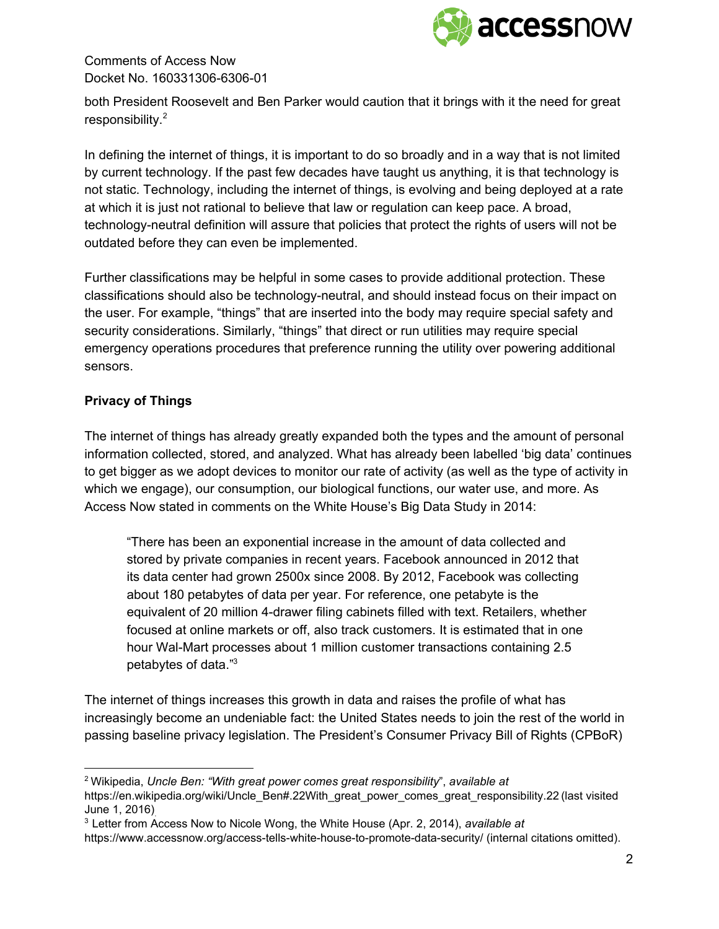

both President Roosevelt and Ben Parker would caution that it brings with it the need for great responsibility.<sup>2</sup>

In defining the internet of things, it is important to do so broadly and in a way that is not limited by current technology. If the past few decades have taught us anything, it is that technology is not static. Technology, including the internet of things, is evolving and being deployed at a rate at which it is just not rational to believe that law or regulation can keep pace. A broad, technology-neutral definition will assure that policies that protect the rights of users will not be outdated before they can even be implemented.

Further classifications may be helpful in some cases to provide additional protection. These classifications should also be technology-neutral, and should instead focus on their impact on the user. For example, "things" that are inserted into the body may require special safety and security considerations. Similarly, "things" that direct or run utilities may require special emergency operations procedures that preference running the utility over powering additional sensors.

## **Privacy of Things**

The internet of things has already greatly expanded both the types and the amount of personal information collected, stored, and analyzed. What has already been labelled 'big data' continues to get bigger as we adopt devices to monitor our rate of activity (as well as the type of activity in which we engage), our consumption, our biological functions, our water use, and more. As Access Now stated in comments on the White House's Big Data Study in 2014:

"There has been an exponential increase in the amount of data collected and stored by private companies in recent years. Facebook announced in 2012 that its data center had grown 2500x since 2008. By 2012, Facebook was collecting about 180 petabytes of data per year. For reference, one petabyte is the equivalent of 20 million 4-drawer filing cabinets filled with text. Retailers, whether focused at online markets or off, also track customers. It is estimated that in one hour Wal-Mart processes about 1 million customer transactions containing 2.5 petabytes of data."<sup>3</sup>

The internet of things increases this growth in data and raises the profile of what has increasingly become an undeniable fact: the United States needs to join the rest of the world in passing baseline privacy legislation. The President's Consumer Privacy Bill of Rights (CPBoR)

<sup>2</sup> Wikipedia, *Uncle Ben: "With great power comes great responsibility*", *available at*

https://en.wikipedia.org/wiki/Uncle\_Ben#.22With\_great\_power\_comes\_great\_responsibility.22 (last visited June 1, 2016).

<sup>3</sup> Letter from Access Now to Nicole Wong, the White House (Apr. 2, 2014), *available at*

https://www.accessnow.org/access-tells-white-house-to-promote-data-security/ (internal citations omitted).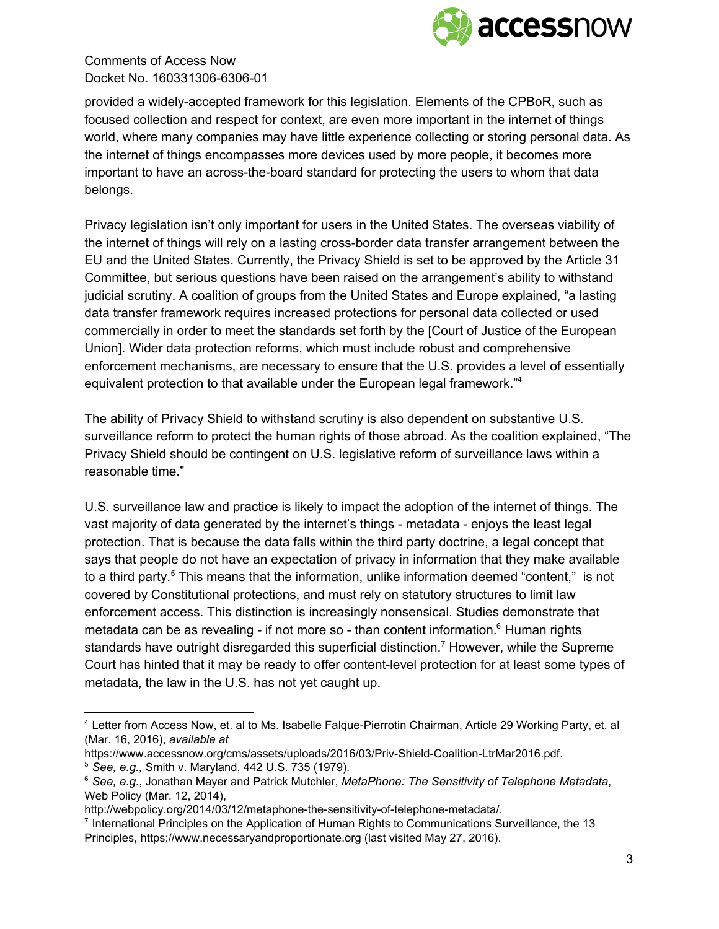

provided a widely-accepted framework for this legislation. Elements of the CPBoR, such as focused collection and respect for context, are even more important in the internet of things world, where many companies may have little experience collecting or storing personal data. As the internet of things encompasses more devices used by more people, it becomes more important to have an across-the-board standard for protecting the users to whom that data belongs.

Privacy legislation isn't only important for users in the United States. The overseas viability of the internet of things will rely on a lasting cross-border data transfer arrangement between the EU and the United States. Currently, the Privacy Shield is set to be approved by the Article 31 Committee, but serious questions have been raised on the arrangement's ability to withstand judicial scrutiny. A coalition of groups from the United States and Europe explained, "a lasting data transfer framework requires increased protections for personal data collected or used commercially in order to meet the standards set forth by the [Court of Justice of the European Union]. Wider data protection reforms, which must include robust and comprehensive enforcement mechanisms, are necessary to ensure that the U.S. provides a level of essentially equivalent protection to that available under the European legal framework."<sup>4</sup>

The ability of Privacy Shield to withstand scrutiny is also dependent on substantive U.S. surveillance reform to protect the human rights of those abroad. As the coalition explained, "The Privacy Shield should be contingent on U.S. legislative reform of surveillance laws within a reasonable time."

U.S. surveillance law and practice is likely to impact the adoption of the internet of things. The vast majority of data generated by the internet's things metadata enjoys the least legal protection. That is because the data falls within the third party doctrine, a legal concept that says that people do not have an expectation of privacy in information that they make available to a third party.<sup>5</sup> This means that the information, unlike information deemed "content," is not covered by Constitutional protections, and must rely on statutory structures to limit law enforcement access. This distinction is increasingly nonsensical. Studies demonstrate that metadata can be as revealing - if not more so - than content information. $<sup>6</sup>$  Human rights</sup> standards have outright disregarded this superficial distinction.<sup>7</sup> However, while the Supreme Court has hinted that it may be ready to offer content-level protection for at least some types of metadata, the law in the U.S. has not yet caught up.

<sup>&</sup>lt;sup>4</sup> Letter from Access Now, et. al to Ms. Isabelle Falque-Pierrotin Chairman, Article 29 Working Party, et. al (Mar. 16, 2016), *available at*

https://www.accessnow.org/cms/assets/uploads/2016/03/Priv-Shield-Coalition-LtrMar2016.pdf.

<sup>5</sup> *See, e.g.,* Smith v. Maryland, 442 U.S. 735 (1979).

<sup>6</sup> *See, e.g.*, Jonathan Mayer and Patrick Mutchler, *MetaPhone: The Sensitivity of Telephone Metadata*, Web Policy (Mar. 12, 2014),

http://webpolicy.org/2014/03/12/metaphone-the-sensitivity-of-telephone-metadata/.

<sup>&</sup>lt;sup>7</sup> International Principles on the Application of Human Rights to Communications Surveillance, the 13 Principles, https://www.necessaryandproportionate.org (last visited May 27, 2016).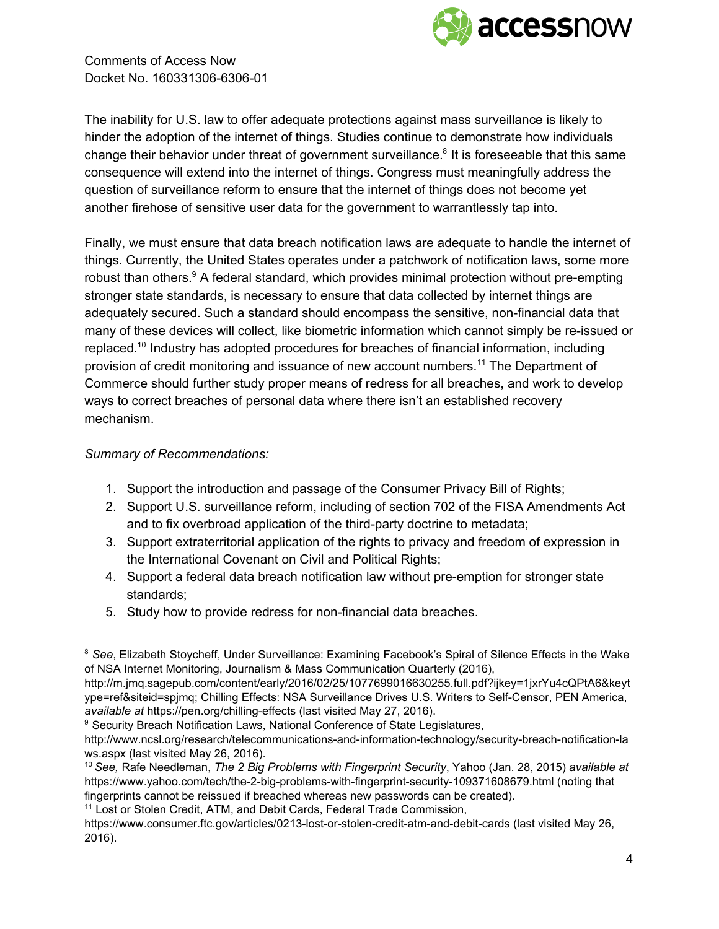

The inability for U.S. law to offer adequate protections against mass surveillance is likely to hinder the adoption of the internet of things. Studies continue to demonstrate how individuals change their behavior under threat of government surveillance.<sup>8</sup> It is foreseeable that this same consequence will extend into the internet of things. Congress must meaningfully address the question of surveillance reform to ensure that the internet of things does not become yet another firehose of sensitive user data for the government to warrantlessly tap into.

Finally, we must ensure that data breach notification laws are adequate to handle the internet of things. Currently, the United States operates under a patchwork of notification laws, some more robust than others. $9$  A federal standard, which provides minimal protection without pre-empting stronger state standards, is necessary to ensure that data collected by internet things are adequately secured. Such a standard should encompass the sensitive, non-financial data that many of these devices will collect, like biometric information which cannot simply be re-issued or replaced.<sup>10</sup> Industry has adopted procedures for breaches of financial information, including provision of credit monitoring and issuance of new account numbers.<sup>11</sup> The Department of Commerce should further study proper means of redress for all breaches, and work to develop ways to correct breaches of personal data where there isn't an established recovery mechanism.

#### *Summary of Recommendations:*

- 1. Support the introduction and passage of the Consumer Privacy Bill of Rights;
- 2. Support U.S. surveillance reform, including of section 702 of the FISA Amendments Act and to fix overbroad application of the third-party doctrine to metadata;
- 3. Support extraterritorial application of the rights to privacy and freedom of expression in the International Covenant on Civil and Political Rights;
- 4. Support a federal data breach notification law without pre-emption for stronger state standards;
- 5. Study how to provide redress for non-financial data breaches.

<sup>8</sup> *See*, Elizabeth Stoycheff, Under Surveillance: Examining Facebook's Spiral of Silence Effects in the Wake of NSA Internet Monitoring, Journalism & Mass Communication Quarterly (2016),

http://m.jmq.sagepub.com/content/early/2016/02/25/1077699016630255.full.pdf?ijkey=1jxrYu4cQPtA6&keyt ype=ref&siteid=spjmq; Chilling Effects: NSA Surveillance Drives U.S. Writers to Self-Censor, PEN America, *available at https://pen.org/chilling-effects (last visited May 27, 2016).* 

<sup>&</sup>lt;sup>9</sup> Security Breach Notification Laws, National Conference of State Legislatures,

http://www.ncsl.org/research/telecommunications-and-information-technology/security-breach-notification-la ws.aspx (last visited May 26, 2016).

<sup>10</sup> *See,* Rafe Needleman, *The 2 Big Problems with Fingerprint Security*, Yahoo (Jan. 28, 2015) *available at* https://www.yahoo.com/tech/the-2-big-problems-with-fingerprint-security-109371608679.html (noting that fingerprints cannot be reissued if breached whereas new passwords can be created).

<sup>&</sup>lt;sup>11</sup> Lost or Stolen Credit, ATM, and Debit Cards, Federal Trade Commission,

https://www.consumer.ftc.gov/articles/0213-lost-or-stolen-credit-atm-and-debit-cards (last visited May 26, 2016).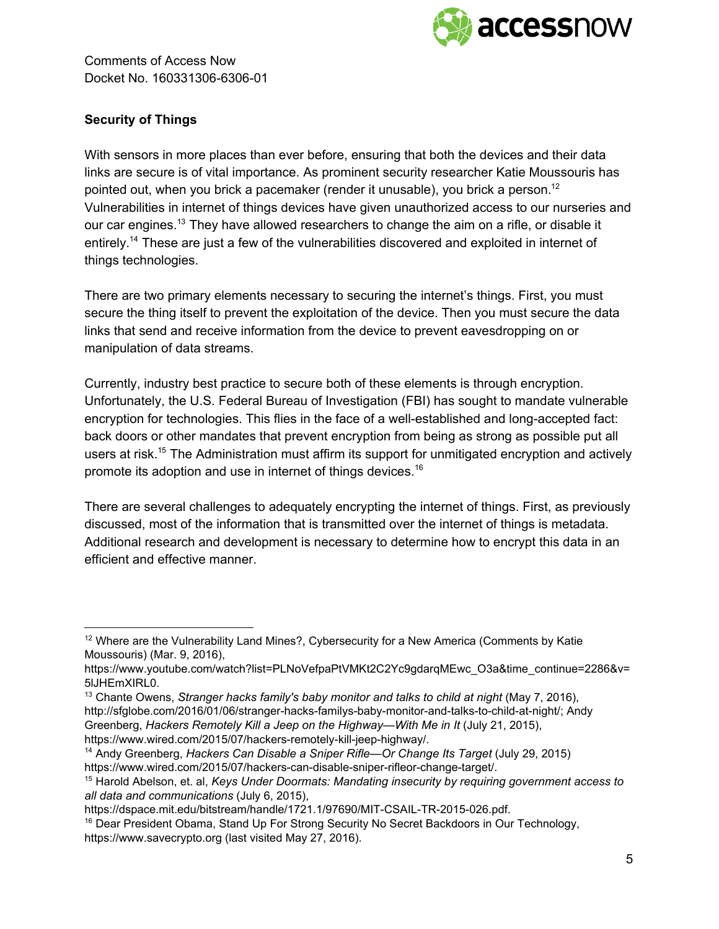

# **Security of Things**

With sensors in more places than ever before, ensuring that both the devices and their data links are secure is of vital importance. As prominent security researcher Katie Moussouris has pointed out, when you brick a pacemaker (render it unusable), you brick a person.<sup>12</sup> Vulnerabilities in internet of things devices have given unauthorized access to our nurseries and our car engines.<sup>13</sup> They have allowed researchers to change the aim on a rifle, or disable it entirely.<sup>14</sup> These are just a few of the vulnerabilities discovered and exploited in internet of things technologies.

There are two primary elements necessary to securing the internet's things. First, you must secure the thing itself to prevent the exploitation of the device. Then you must secure the data links that send and receive information from the device to prevent eavesdropping on or manipulation of data streams.

Currently, industry best practice to secure both of these elements is through encryption. Unfortunately, the U.S. Federal Bureau of Investigation (FBI) has sought to mandate vulnerable encryption for technologies. This flies in the face of a well-established and long-accepted fact: back doors or other mandates that prevent encryption from being as strong as possible put all users at risk.<sup>15</sup> The Administration must affirm its support for unmitigated encryption and actively promote its adoption and use in internet of things devices.<sup>16</sup>

There are several challenges to adequately encrypting the internet of things. First, as previously discussed, most of the information that is transmitted over the internet of things is metadata. Additional research and development is necessary to determine how to encrypt this data in an efficient and effective manner.

<sup>&</sup>lt;sup>12</sup> Where are the Vulnerability Land Mines?, Cybersecurity for a New America (Comments by Katie Moussouris) (Mar. 9, 2016),

https://www.youtube.com/watch?list=PLNoVefpaPtVMKt2C2Yc9gdarqMEwc\_O3a&time\_continue=2286&v= 5lJHEmXIRL0.

<sup>13</sup> Chante Owens, *Stranger hacks family's baby monitor and talks to child at night* (May 7, 2016), http://sfglobe.com/2016/01/06/stranger-hacks-familys-baby-monitor-and-talks-to-child-at-night/; Andy Greenberg, *Hackers Remotely Kill a Jeep on the Highway—With Me in It* (July 21, 2015), https://www.wired.com/2015/07/hackers-remotely-kill-jeep-highway/.

<sup>14</sup> Andy Greenberg, *Hackers Can Disable a Sniper Rifle—Or Change Its Target* (July 29, 2015) https://www.wired.com/2015/07/hackers-can-disable-sniper-rifleor-change-target/.

<sup>15</sup> Harold Abelson, et. al, *Keys Under Doormats: Mandating insecurity by requiring government access to all data and communications* (July 6, 2015),

https://dspace.mit.edu/bitstream/handle/1721.1/97690/MIT-CSAIL-TR-2015-026.pdf.

<sup>&</sup>lt;sup>16</sup> Dear President Obama, Stand Up For Strong Security No Secret Backdoors in Our Technology, https://www.savecrypto.org (last visited May 27, 2016).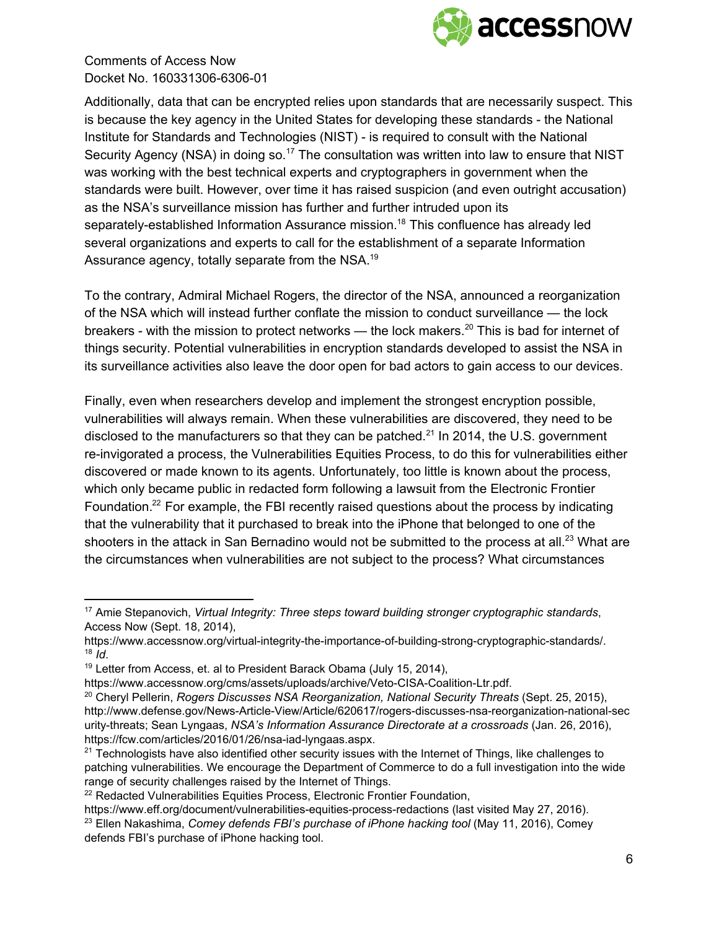

Additionally, data that can be encrypted relies upon standards that are necessarily suspect. This is because the key agency in the United States for developing these standards - the National Institute for Standards and Technologies (NIST) is required to consult with the National Security Agency (NSA) in doing so.<sup>17</sup> The consultation was written into law to ensure that NIST was working with the best technical experts and cryptographers in government when the standards were built. However, over time it has raised suspicion (and even outright accusation) as the NSA's surveillance mission has further and further intruded upon its separately-established Information Assurance mission.<sup>18</sup> This confluence has already led several organizations and experts to call for the establishment of a separate Information Assurance agency, totally separate from the NSA.<sup>19</sup>

To the contrary, Admiral Michael Rogers, the director of the NSA, announced a reorganization of the NSA which will instead further conflate the mission to conduct surveillance — the lock breakers - with the mission to protect networks — the lock makers.<sup>20</sup> This is bad for internet of things security. Potential vulnerabilities in encryption standards developed to assist the NSA in its surveillance activities also leave the door open for bad actors to gain access to our devices.

Finally, even when researchers develop and implement the strongest encryption possible, vulnerabilities will always remain. When these vulnerabilities are discovered, they need to be disclosed to the manufacturers so that they can be patched.<sup>21</sup> In 2014, the U.S. government re-invigorated a process, the Vulnerabilities Equities Process, to do this for vulnerabilities either discovered or made known to its agents. Unfortunately, too little is known about the process, which only became public in redacted form following a lawsuit from the Electronic Frontier Foundation.<sup>22</sup> For example, the FBI recently raised questions about the process by indicating that the vulnerability that it purchased to break into the iPhone that belonged to one of the shooters in the attack in San Bernadino would not be submitted to the process at all.<sup>23</sup> What are the circumstances when vulnerabilities are not subject to the process? What circumstances

<sup>17</sup> Amie Stepanovich, *Virtual Integrity: Three steps toward building stronger cryptographic standards*, Access Now (Sept. 18, 2014),

https://www.accessnow.org/virtual-integrity-the-importance-of-building-strong-cryptographic-standards/. 18 *Id*.

 $19$  Letter from Access, et. al to President Barack Obama (July 15, 2014),

https://www.accessnow.org/cms/assets/uploads/archive/Veto-CISA-Coalition-Ltr.pdf.

<sup>20</sup> Cheryl Pellerin, *Rogers Discusses NSA Reorganization, National Security Threats* (Sept. 25, 2015), http://www.defense.gov/News-Article-View/Article/620617/rogers-discusses-nsa-reorganization-national-sec uritythreats; Sean Lyngaas, *NSA's Information Assurance Directorate at a crossroads* (Jan. 26, 2016), https://fcw.com/articles/2016/01/26/nsa-iad-lyngaas.aspx.

 $21$  Technologists have also identified other security issues with the Internet of Things, like challenges to patching vulnerabilities. We encourage the Department of Commerce to do a full investigation into the wide range of security challenges raised by the Internet of Things.

<sup>&</sup>lt;sup>22</sup> Redacted Vulnerabilities Equities Process, Electronic Frontier Foundation,

https://www.eff.org/document/vulnerabilities-equities-process-redactions (last visited May 27, 2016). <sup>23</sup> Ellen Nakashima, *Comey defends FBI's purchase of iPhone hacking tool* (May 11, 2016), Comey defends FBI's purchase of iPhone hacking tool.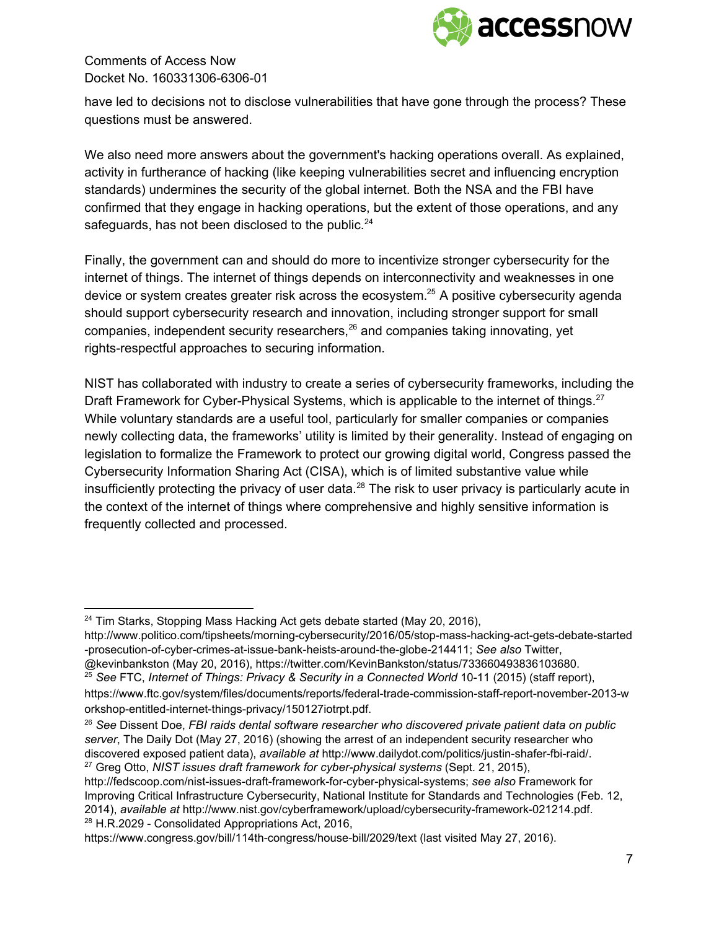

have led to decisions not to disclose vulnerabilities that have gone through the process? These questions must be answered.

We also need more answers about the government's hacking operations overall. As explained, activity in furtherance of hacking (like keeping vulnerabilities secret and influencing encryption standards) undermines the security of the global internet. Both the NSA and the FBI have confirmed that they engage in hacking operations, but the extent of those operations, and any safeguards, has not been disclosed to the public. $^{24}$ 

Finally, the government can and should do more to incentivize stronger cybersecurity for the internet of things. The internet of things depends on interconnectivity and weaknesses in one device or system creates greater risk across the ecosystem.<sup>25</sup> A positive cybersecurity agenda should support cybersecurity research and innovation, including stronger support for small companies, independent security researchers, $26$  and companies taking innovating, yet rights-respectful approaches to securing information.

NIST has collaborated with industry to create a series of cybersecurity frameworks, including the Draft Framework for Cyber-Physical Systems, which is applicable to the internet of things.<sup>27</sup> While voluntary standards are a useful tool, particularly for smaller companies or companies newly collecting data, the frameworks' utility is limited by their generality. Instead of engaging on legislation to formalize the Framework to protect our growing digital world, Congress passed the Cybersecurity Information Sharing Act (CISA), which is of limited substantive value while insufficiently protecting the privacy of user data. $^{28}$  The risk to user privacy is particularly acute in the context of the internet of things where comprehensive and highly sensitive information is frequently collected and processed.

<sup>&</sup>lt;sup>24</sup> Tim Starks, Stopping Mass Hacking Act gets debate started (May 20, 2016), http://www.politico.com/tipsheets/morning-cybersecurity/2016/05/stop-mass-hacking-act-gets-debate-started -prosecution-of-cyber-crimes-at-issue-bank-heists-around-the-globe-214411; See also Twitter, @kevinbankston (May 20, 2016), https://twitter.com/KevinBankston/status/733660493836103680.

<sup>25</sup> *See* FTC, *Internet of Things: Privacy & Security in a Connected World* 1011 (2015) (staff report), https://www.ftc.gov/system/files/documents/reports/federal-trade-commission-staff-report-november-2013-w orkshop-entitled-internet-things-privacy/150127iotrpt.pdf.

<sup>26</sup> *See* Dissent Doe, *FBI raids dental software researcher who discovered private patient data on public server*, The Daily Dot (May 27, 2016) (showing the arrest of an independent security researcher who discovered exposed patient data), *available* at http://www.dailydot.com/politics/justin-shafer-fbi-raid/. <sup>27</sup> Greg Otto, *NIST issues draft framework for cyberphysical systems* (Sept. 21, 2015),

http://fedscoop.com/nist-issues-draft-framework-for-cyber-physical-systems; see also Framework for Improving Critical Infrastructure Cybersecurity, National Institute for Standards and Technologies (Feb. 12, 2014), *available at http://www.nist.gov/cyberframework/upload/cybersecurity-framework-021214.pdf.* <sup>28</sup> H.R.2029 - Consolidated Appropriations Act, 2016,

https://www.congress.gov/bill/114th-congress/house-bill/2029/text (last visited May 27, 2016).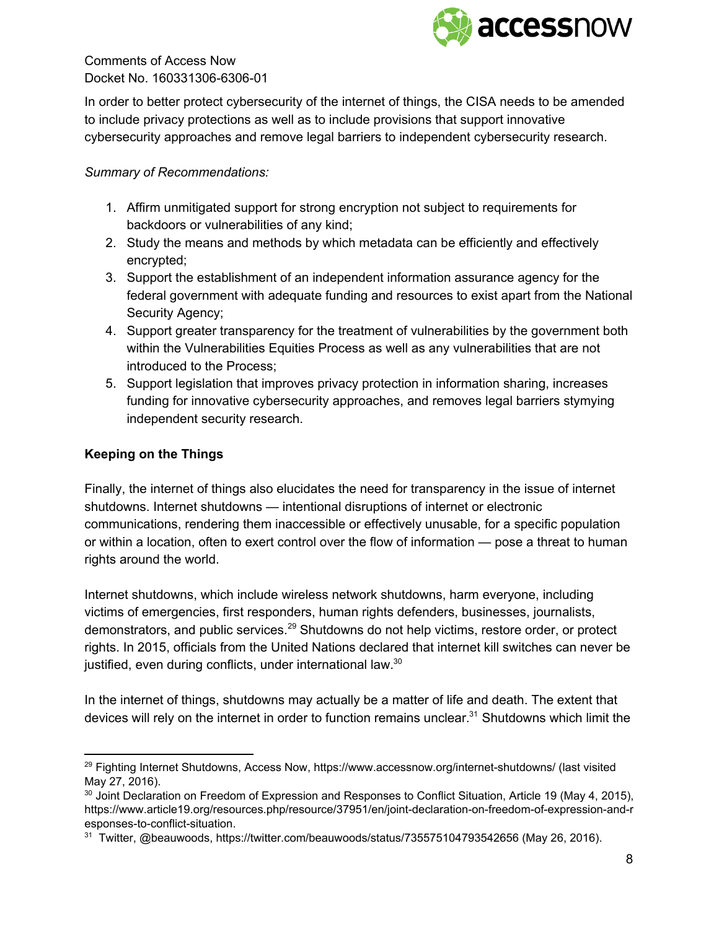

In order to better protect cybersecurity of the internet of things, the CISA needs to be amended to include privacy protections as well as to include provisions that support innovative cybersecurity approaches and remove legal barriers to independent cybersecurity research.

## *Summary of Recommendations:*

- 1. Affirm unmitigated support for strong encryption not subject to requirements for backdoors or vulnerabilities of any kind;
- 2. Study the means and methods by which metadata can be efficiently and effectively encrypted;
- 3. Support the establishment of an independent information assurance agency for the federal government with adequate funding and resources to exist apart from the National Security Agency;
- 4. Support greater transparency for the treatment of vulnerabilities by the government both within the Vulnerabilities Equities Process as well as any vulnerabilities that are not introduced to the Process;
- 5. Support legislation that improves privacy protection in information sharing, increases funding for innovative cybersecurity approaches, and removes legal barriers stymying independent security research.

# **Keeping on the Things**

Finally, the internet of things also elucidates the need for transparency in the issue of internet shutdowns. Internet shutdowns — intentional disruptions of internet or electronic communications, rendering them inaccessible or effectively unusable, for a specific population or within a location, often to exert control over the flow of information — pose a threat to human rights around the world.

Internet shutdowns, which include wireless network shutdowns, harm everyone, including victims of emergencies, first responders, human rights defenders, businesses, journalists, demonstrators, and public services.<sup>29</sup> Shutdowns do not help victims, restore order, or protect rights. In 2015, officials from the United Nations declared that internet kill switches can never be justified, even during conflicts, under international law.<sup>30</sup>

In the internet of things, shutdowns may actually be a matter of life and death. The extent that devices will rely on the internet in order to function remains unclear.<sup>31</sup> Shutdowns which limit the

<sup>&</sup>lt;sup>29</sup> Fighting Internet Shutdowns, Access Now, https://www.accessnow.org/internet-shutdowns/ (last visited May 27, 2016).

<sup>&</sup>lt;sup>30</sup> Joint Declaration on Freedom of Expression and Responses to Conflict Situation, Article 19 (May 4, 2015), https://www.article19.org/resources.php/resource/37951/en/joint-declaration-on-freedom-of-expression-and-r esponses-to-conflict-situation.

<sup>31</sup> Twitter, @beauwoods, https://twitter.com/beauwoods/status/735575104793542656 (May 26, 2016).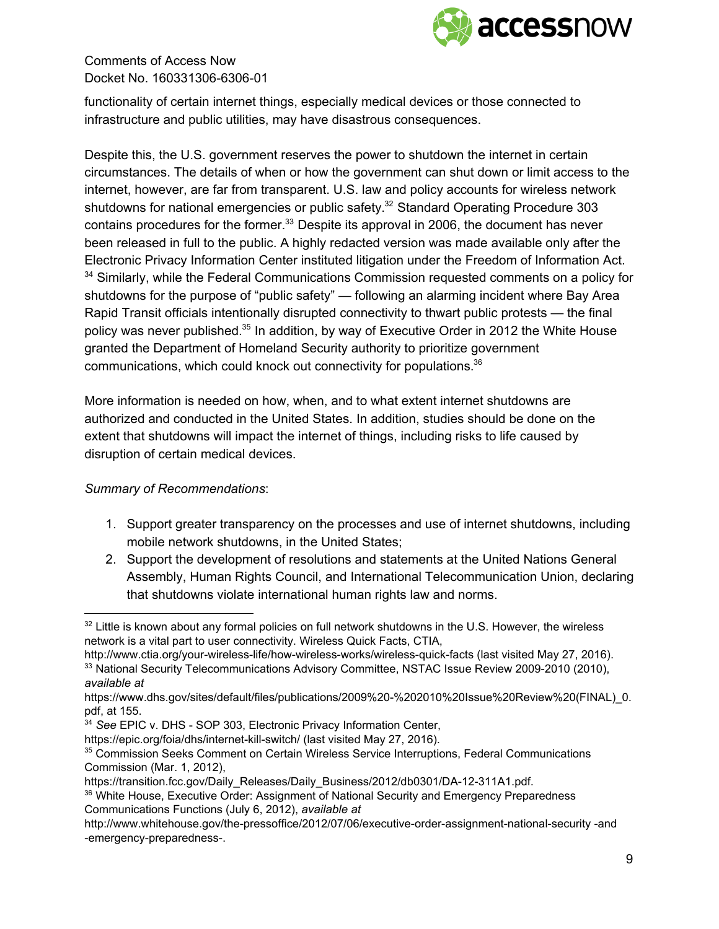

functionality of certain internet things, especially medical devices or those connected to infrastructure and public utilities, may have disastrous consequences.

Despite this, the U.S. government reserves the power to shutdown the internet in certain circumstances. The details of when or how the government can shut down or limit access to the internet, however, are far from transparent. U.S. law and policy accounts for wireless network shutdowns for national emergencies or public safety. $32$  Standard Operating Procedure 303 contains procedures for the former. $33$  Despite its approval in 2006, the document has never been released in full to the public. A highly redacted version was made available only after the Electronic Privacy Information Center instituted litigation under the Freedom of Information Act.  $34$  Similarly, while the Federal Communications Commission requested comments on a policy for shutdowns for the purpose of "public safety" — following an alarming incident where Bay Area Rapid Transit officials intentionally disrupted connectivity to thwart public protests — the final policy was never published.<sup>35</sup> In addition, by way of Executive Order in 2012 the White House granted the Department of Homeland Security authority to prioritize government communications, which could knock out connectivity for populations. 36

More information is needed on how, when, and to what extent internet shutdowns are authorized and conducted in the United States. In addition, studies should be done on the extent that shutdowns will impact the internet of things, including risks to life caused by disruption of certain medical devices.

#### *Summary of Recommendations*:

- 1. Support greater transparency on the processes and use of internet shutdowns, including mobile network shutdowns, in the United States;
- 2. Support the development of resolutions and statements at the United Nations General Assembly, Human Rights Council, and International Telecommunication Union, declaring that shutdowns violate international human rights law and norms.

 $32$  Little is known about any formal policies on full network shutdowns in the U.S. However, the wireless network is a vital part to user connectivity. Wireless Quick Facts, CTIA,

http://www.ctia.org/your-wireless-life/how-wireless-works/wireless-quick-facts (last visited May 27, 2016). <sup>33</sup> National Security Telecommunications Advisory Committee, NSTAC Issue Review 2009-2010 (2010), *available at*

https://www.dhs.gov/sites/default/files/publications/2009%20-%202010%20Issue%20Review%20(FINAL)\_0. pdf, at 155.

<sup>&</sup>lt;sup>34</sup> See EPIC v. DHS - SOP 303, Electronic Privacy Information Center,

https://epic.org/foia/dhs/internet-kill-switch/ (last visited May 27, 2016).

<sup>35</sup> Commission Seeks Comment on Certain Wireless Service Interruptions, Federal Communications Commission (Mar. 1, 2012),

https://transition.fcc.gov/Daily\_Releases/Daily\_Business/2012/db0301/DA-12-311A1.pdf.

<sup>&</sup>lt;sup>36</sup> White House, Executive Order: Assignment of National Security and Emergency Preparedness Communications Functions (July 6, 2012), *available at*

http://www.whitehouse.gov/the-pressoffice/2012/07/06/executive-order-assignment-national-security -and -emergency-preparedness-.